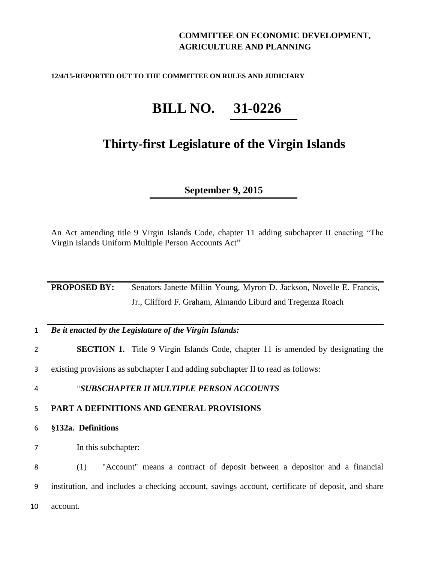## **COMMITTEE ON ECONOMIC DEVELOPMENT, AGRICULTURE AND PLANNING**

## **12/4/15-REPORTED OUT TO THE COMMITTEE ON RULES AND JUDICIARY**

# **BILL NO. 31-0226**

## **Thirty-first Legislature of the Virgin Islands**

**September 9, 2015**

An Act amending title 9 Virgin Islands Code, chapter 11 adding subchapter II enacting "The Virgin Islands Uniform Multiple Person Accounts Act"

**PROPOSED BY:** Senators Janette Millin Young, Myron D. Jackson, Novelle E. Francis, Jr., Clifford F. Graham, Almando Liburd and Tregenza Roach

1 *Be it enacted by the Legislature of the Virgin Islands:*

2 **SECTION 1.** Title 9 Virgin Islands Code, chapter 11 is amended by designating the

3 existing provisions as subchapter I and adding subchapter II to read as follows:

4 "*SUBSCHAPTER II MULTIPLE PERSON ACCOUNTS*

## 5 **PART A DEFINITIONS AND GENERAL PROVISIONS**

- 6 **§132a. Definitions**
- 7 In this subchapter:

8 (1) "Account" means a contract of deposit between a depositor and a financial 9 institution, and includes a checking account, savings account, certificate of deposit, and share 10 account.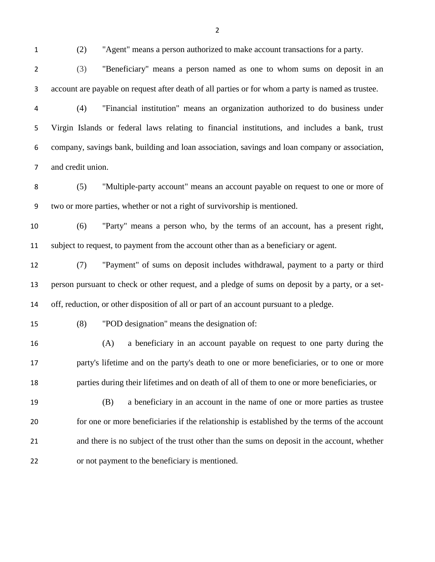(2) "Agent" means a person authorized to make account transactions for a party.

- (3) "Beneficiary" means a person named as one to whom sums on deposit in an account are payable on request after death of all parties or for whom a party is named as trustee.
- (4) "Financial institution" means an organization authorized to do business under Virgin Islands or federal laws relating to financial institutions, and includes a bank, trust company, savings bank, building and loan association, savings and loan company or association, and credit union.
- (5) "Multiple-party account" means an account payable on request to one or more of two or more parties, whether or not a right of survivorship is mentioned.
- (6) "Party" means a person who, by the terms of an account, has a present right, subject to request, to payment from the account other than as a beneficiary or agent.
- (7) "Payment" of sums on deposit includes withdrawal, payment to a party or third person pursuant to check or other request, and a pledge of sums on deposit by a party, or a set-off, reduction, or other disposition of all or part of an account pursuant to a pledge.
- 
- (8) "POD designation" means the designation of:
- (A) a beneficiary in an account payable on request to one party during the party's lifetime and on the party's death to one or more beneficiaries, or to one or more parties during their lifetimes and on death of all of them to one or more beneficiaries, or
- (B) a beneficiary in an account in the name of one or more parties as trustee for one or more beneficiaries if the relationship is established by the terms of the account and there is no subject of the trust other than the sums on deposit in the account, whether or not payment to the beneficiary is mentioned.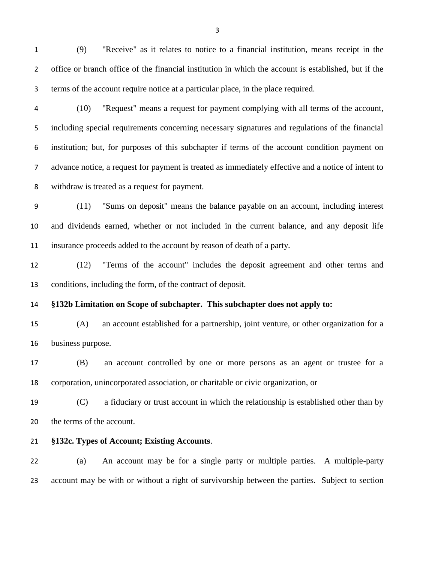- (9) "Receive" as it relates to notice to a financial institution, means receipt in the office or branch office of the financial institution in which the account is established, but if the terms of the account require notice at a particular place, in the place required.
- (10) "Request" means a request for payment complying with all terms of the account, including special requirements concerning necessary signatures and regulations of the financial institution; but, for purposes of this subchapter if terms of the account condition payment on advance notice, a request for payment is treated as immediately effective and a notice of intent to withdraw is treated as a request for payment.
- (11) "Sums on deposit" means the balance payable on an account, including interest and dividends earned, whether or not included in the current balance, and any deposit life insurance proceeds added to the account by reason of death of a party.
- (12) "Terms of the account" includes the deposit agreement and other terms and conditions, including the form, of the contract of deposit.

## **§132b Limitation on Scope of subchapter. This subchapter does not apply to:**

 (A) an account established for a partnership, joint venture, or other organization for a business purpose.

- (B) an account controlled by one or more persons as an agent or trustee for a corporation, unincorporated association, or charitable or civic organization, or
- (C) a fiduciary or trust account in which the relationship is established other than by the terms of the account.
- **§132c. Types of Account; Existing Accounts**.
- (a) An account may be for a single party or multiple parties. A multiple-party account may be with or without a right of survivorship between the parties. Subject to section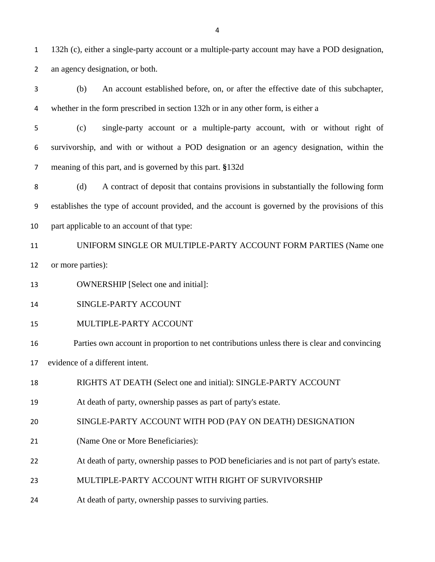132h (c), either a single-party account or a multiple-party account may have a POD designation, an agency designation, or both.

 (b) An account established before, on, or after the effective date of this subchapter, whether in the form prescribed in section 132h or in any other form, is either a

 (c) single-party account or a multiple-party account, with or without right of survivorship, and with or without a POD designation or an agency designation, within the meaning of this part, and is governed by this part. **§**132d

 (d) A contract of deposit that contains provisions in substantially the following form establishes the type of account provided, and the account is governed by the provisions of this part applicable to an account of that type:

 UNIFORM SINGLE OR MULTIPLE-PARTY ACCOUNT FORM PARTIES (Name one or more parties):

- OWNERSHIP [Select one and initial]:
- SINGLE-PARTY ACCOUNT
- MULTIPLE-PARTY ACCOUNT

 Parties own account in proportion to net contributions unless there is clear and convincing evidence of a different intent.

- RIGHTS AT DEATH (Select one and initial): SINGLE-PARTY ACCOUNT
- At death of party, ownership passes as part of party's estate.
- SINGLE-PARTY ACCOUNT WITH POD (PAY ON DEATH) DESIGNATION
- (Name One or More Beneficiaries):
- At death of party, ownership passes to POD beneficiaries and is not part of party's estate.

MULTIPLE-PARTY ACCOUNT WITH RIGHT OF SURVIVORSHIP

At death of party, ownership passes to surviving parties.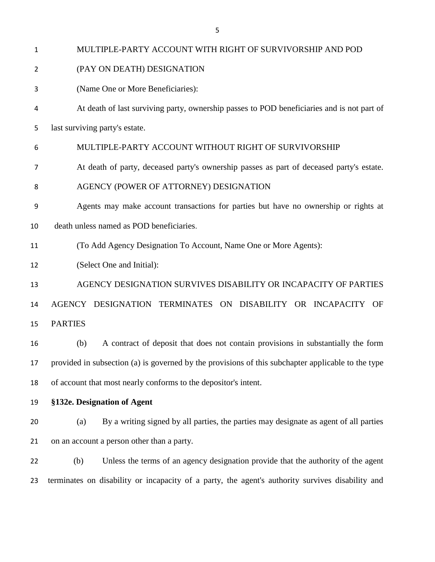| 1  | MULTIPLE-PARTY ACCOUNT WITH RIGHT OF SURVIVORSHIP AND POD                                          |
|----|----------------------------------------------------------------------------------------------------|
| 2  | (PAY ON DEATH) DESIGNATION                                                                         |
| 3  | (Name One or More Beneficiaries):                                                                  |
| 4  | At death of last surviving party, ownership passes to POD beneficiaries and is not part of         |
| 5  | last surviving party's estate.                                                                     |
| 6  | MULTIPLE-PARTY ACCOUNT WITHOUT RIGHT OF SURVIVORSHIP                                               |
| 7  | At death of party, deceased party's ownership passes as part of deceased party's estate.           |
| 8  | AGENCY (POWER OF ATTORNEY) DESIGNATION                                                             |
| 9  | Agents may make account transactions for parties but have no ownership or rights at                |
| 10 | death unless named as POD beneficiaries.                                                           |
| 11 | (To Add Agency Designation To Account, Name One or More Agents):                                   |
| 12 | (Select One and Initial):                                                                          |
| 13 | AGENCY DESIGNATION SURVIVES DISABILITY OR INCAPACITY OF PARTIES                                    |
| 14 | AGENCY DESIGNATION TERMINATES ON DISABILITY OR INCAPACITY OF                                       |
| 15 | <b>PARTIES</b>                                                                                     |
| 16 | A contract of deposit that does not contain provisions in substantially the form<br>(b)            |
| 17 | provided in subsection (a) is governed by the provisions of this subchapter applicable to the type |
| 18 | of account that most nearly conforms to the depositor's intent.                                    |
| 19 | §132e. Designation of Agent                                                                        |
| 20 | By a writing signed by all parties, the parties may designate as agent of all parties<br>(a)       |
| 21 | on an account a person other than a party.                                                         |
| 22 | Unless the terms of an agency designation provide that the authority of the agent<br>(b)           |
| 23 | terminates on disability or incapacity of a party, the agent's authority survives disability and   |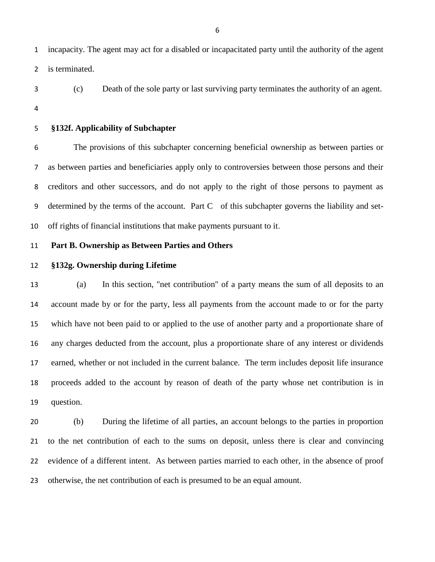incapacity. The agent may act for a disabled or incapacitated party until the authority of the agent is terminated.

 (c) Death of the sole party or last surviving party terminates the authority of an agent. 

## **§132f. Applicability of Subchapter**

 The provisions of this subchapter concerning beneficial ownership as between parties or as between parties and beneficiaries apply only to controversies between those persons and their creditors and other successors, and do not apply to the right of those persons to payment as determined by the terms of the account. Part C of this subchapter governs the liability and set-off rights of financial institutions that make payments pursuant to it.

## **Part B. Ownership as Between Parties and Others**

#### **§132g. Ownership during Lifetime**

 (a) In this section, "net contribution" of a party means the sum of all deposits to an account made by or for the party, less all payments from the account made to or for the party which have not been paid to or applied to the use of another party and a proportionate share of any charges deducted from the account, plus a proportionate share of any interest or dividends earned, whether or not included in the current balance. The term includes deposit life insurance proceeds added to the account by reason of death of the party whose net contribution is in question.

 (b) During the lifetime of all parties, an account belongs to the parties in proportion to the net contribution of each to the sums on deposit, unless there is clear and convincing evidence of a different intent. As between parties married to each other, in the absence of proof otherwise, the net contribution of each is presumed to be an equal amount.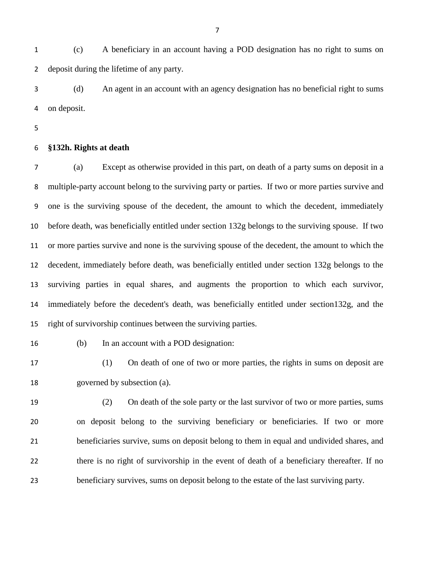(c) A beneficiary in an account having a POD designation has no right to sums on deposit during the lifetime of any party.

 (d) An agent in an account with an agency designation has no beneficial right to sums on deposit.

#### **§132h. Rights at death**

 (a) Except as otherwise provided in this part, on death of a party sums on deposit in a multiple-party account belong to the surviving party or parties. If two or more parties survive and one is the surviving spouse of the decedent, the amount to which the decedent, immediately before death, was beneficially entitled under section 132g belongs to the surviving spouse. If two or more parties survive and none is the surviving spouse of the decedent, the amount to which the decedent, immediately before death, was beneficially entitled under section 132g belongs to the surviving parties in equal shares, and augments the proportion to which each survivor, immediately before the decedent's death, was beneficially entitled under section132g, and the right of survivorship continues between the surviving parties.

(b) In an account with a POD designation:

 (1) On death of one of two or more parties, the rights in sums on deposit are governed by subsection (a).

 (2) On death of the sole party or the last survivor of two or more parties, sums on deposit belong to the surviving beneficiary or beneficiaries. If two or more beneficiaries survive, sums on deposit belong to them in equal and undivided shares, and there is no right of survivorship in the event of death of a beneficiary thereafter. If no beneficiary survives, sums on deposit belong to the estate of the last surviving party.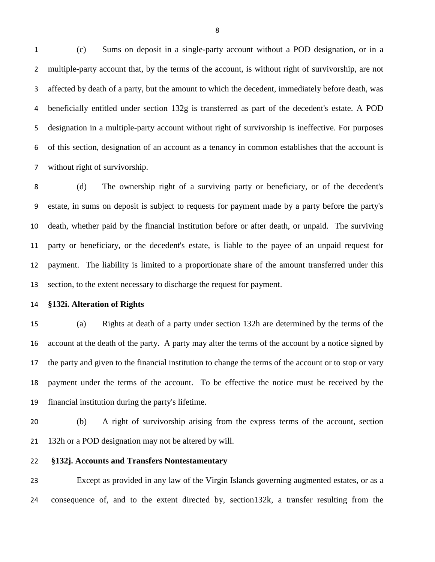(c) Sums on deposit in a single-party account without a POD designation, or in a multiple-party account that, by the terms of the account, is without right of survivorship, are not affected by death of a party, but the amount to which the decedent, immediately before death, was beneficially entitled under section 132g is transferred as part of the decedent's estate. A POD designation in a multiple-party account without right of survivorship is ineffective. For purposes of this section, designation of an account as a tenancy in common establishes that the account is without right of survivorship.

 (d) The ownership right of a surviving party or beneficiary, or of the decedent's estate, in sums on deposit is subject to requests for payment made by a party before the party's death, whether paid by the financial institution before or after death, or unpaid. The surviving party or beneficiary, or the decedent's estate, is liable to the payee of an unpaid request for payment. The liability is limited to a proportionate share of the amount transferred under this section, to the extent necessary to discharge the request for payment.

**§132i. Alteration of Rights**

 (a) Rights at death of a party under section 132h are determined by the terms of the account at the death of the party. A party may alter the terms of the account by a notice signed by the party and given to the financial institution to change the terms of the account or to stop or vary payment under the terms of the account. To be effective the notice must be received by the financial institution during the party's lifetime.

 (b) A right of survivorship arising from the express terms of the account, section 132h or a POD designation may not be altered by will.

**§132j. Accounts and Transfers Nontestamentary**

 Except as provided in any law of the Virgin Islands governing augmented estates, or as a consequence of, and to the extent directed by, section132k, a transfer resulting from the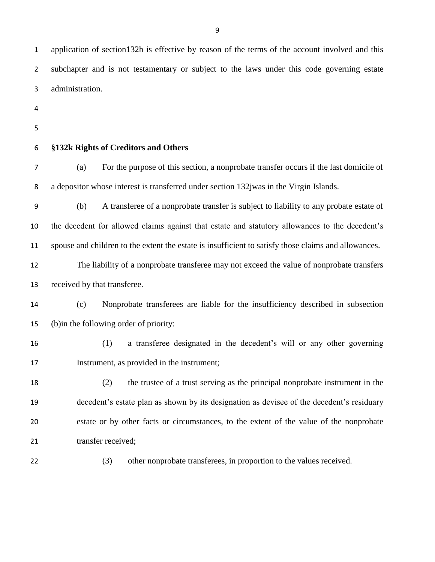application of section**1**32h is effective by reason of the terms of the account involved and this subchapter and is not testamentary or subject to the laws under this code governing estate administration.

- 
- 

## **§132k Rights of Creditors and Others**

 (a) For the purpose of this section, a nonprobate transfer occurs if the last domicile of a depositor whose interest is transferred under section 132jwas in the Virgin Islands.

 (b) A transferee of a nonprobate transfer is subject to liability to any probate estate of the decedent for allowed claims against that estate and statutory allowances to the decedent's spouse and children to the extent the estate is insufficient to satisfy those claims and allowances.

 The liability of a nonprobate transferee may not exceed the value of nonprobate transfers received by that transferee.

 (c) Nonprobate transferees are liable for the insufficiency described in subsection (b)in the following order of priority:

 (1) a transferee designated in the decedent's will or any other governing 17 Instrument, as provided in the instrument;

 (2) the trustee of a trust serving as the principal nonprobate instrument in the decedent's estate plan as shown by its designation as devisee of the decedent's residuary estate or by other facts or circumstances, to the extent of the value of the nonprobate 21 transfer received;

(3) other nonprobate transferees, in proportion to the values received.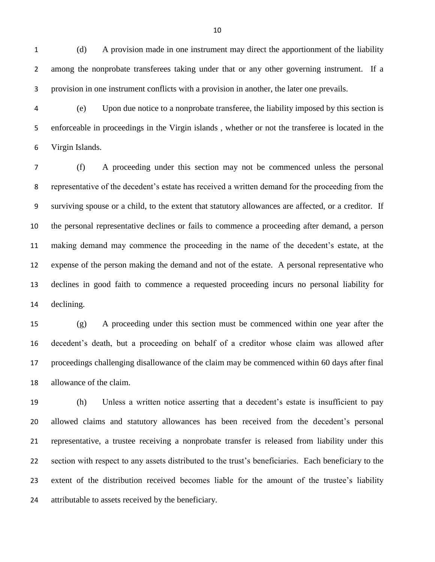(d) A provision made in one instrument may direct the apportionment of the liability among the nonprobate transferees taking under that or any other governing instrument. If a provision in one instrument conflicts with a provision in another, the later one prevails.

 (e) Upon due notice to a nonprobate transferee, the liability imposed by this section is enforceable in proceedings in the Virgin islands , whether or not the transferee is located in the Virgin Islands.

 (f) A proceeding under this section may not be commenced unless the personal representative of the decedent's estate has received a written demand for the proceeding from the surviving spouse or a child, to the extent that statutory allowances are affected, or a creditor. If the personal representative declines or fails to commence a proceeding after demand, a person making demand may commence the proceeding in the name of the decedent's estate, at the expense of the person making the demand and not of the estate. A personal representative who declines in good faith to commence a requested proceeding incurs no personal liability for declining.

 (g) A proceeding under this section must be commenced within one year after the decedent's death, but a proceeding on behalf of a creditor whose claim was allowed after proceedings challenging disallowance of the claim may be commenced within 60 days after final allowance of the claim.

 (h) Unless a written notice asserting that a decedent's estate is insufficient to pay allowed claims and statutory allowances has been received from the decedent's personal representative, a trustee receiving a nonprobate transfer is released from liability under this section with respect to any assets distributed to the trust's beneficiaries. Each beneficiary to the extent of the distribution received becomes liable for the amount of the trustee's liability attributable to assets received by the beneficiary.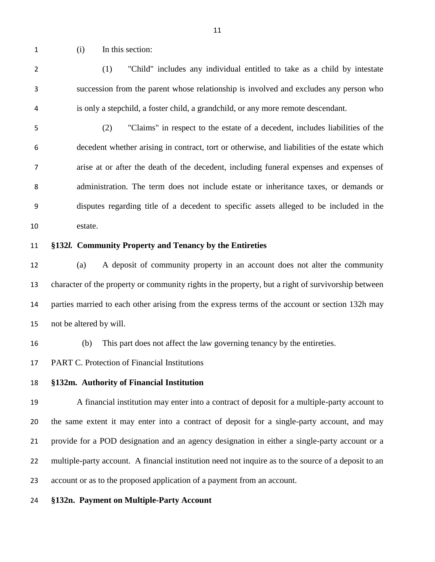- (i) In this section:
- (1) "Child" includes any individual entitled to take as a child by intestate succession from the parent whose relationship is involved and excludes any person who is only a stepchild, a foster child, a grandchild, or any more remote descendant.

 (2) "Claims" in respect to the estate of a decedent, includes liabilities of the decedent whether arising in contract, tort or otherwise, and liabilities of the estate which arise at or after the death of the decedent, including funeral expenses and expenses of administration. The term does not include estate or inheritance taxes, or demands or disputes regarding title of a decedent to specific assets alleged to be included in the estate.

## **§132***l.* **Community Property and Tenancy by the Entireties**

 (a) A deposit of community property in an account does not alter the community character of the property or community rights in the property, but a right of survivorship between parties married to each other arising from the express terms of the account or section 132h may not be altered by will.

(b) This part does not affect the law governing tenancy by the entireties.

- PART C. Protection of Financial Institutions
- **§132m. Authority of Financial Institution**

 A financial institution may enter into a contract of deposit for a multiple-party account to the same extent it may enter into a contract of deposit for a single-party account, and may provide for a POD designation and an agency designation in either a single-party account or a multiple-party account. A financial institution need not inquire as to the source of a deposit to an account or as to the proposed application of a payment from an account.

**§132n. Payment on Multiple-Party Account**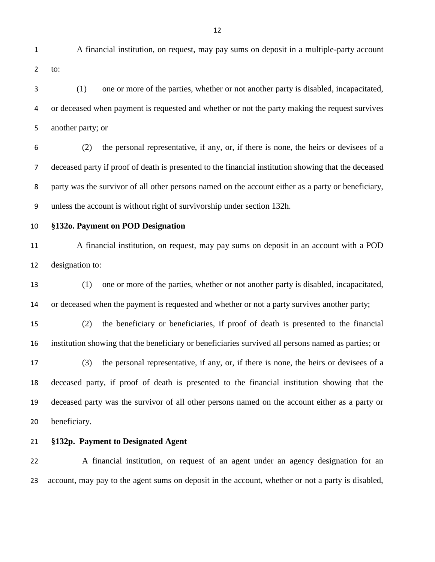A financial institution, on request, may pay sums on deposit in a multiple-party account to:

 (1) one or more of the parties, whether or not another party is disabled, incapacitated, or deceased when payment is requested and whether or not the party making the request survives another party; or

 (2) the personal representative, if any, or, if there is none, the heirs or devisees of a deceased party if proof of death is presented to the financial institution showing that the deceased party was the survivor of all other persons named on the account either as a party or beneficiary, unless the account is without right of survivorship under section 132h.

## **§132o. Payment on POD Designation**

 A financial institution, on request, may pay sums on deposit in an account with a POD designation to:

 (1) one or more of the parties, whether or not another party is disabled, incapacitated, or deceased when the payment is requested and whether or not a party survives another party;

 (2) the beneficiary or beneficiaries, if proof of death is presented to the financial institution showing that the beneficiary or beneficiaries survived all persons named as parties; or

 (3) the personal representative, if any, or, if there is none, the heirs or devisees of a deceased party, if proof of death is presented to the financial institution showing that the deceased party was the survivor of all other persons named on the account either as a party or beneficiary.

**§132p. Payment to Designated Agent**

 A financial institution, on request of an agent under an agency designation for an account, may pay to the agent sums on deposit in the account, whether or not a party is disabled,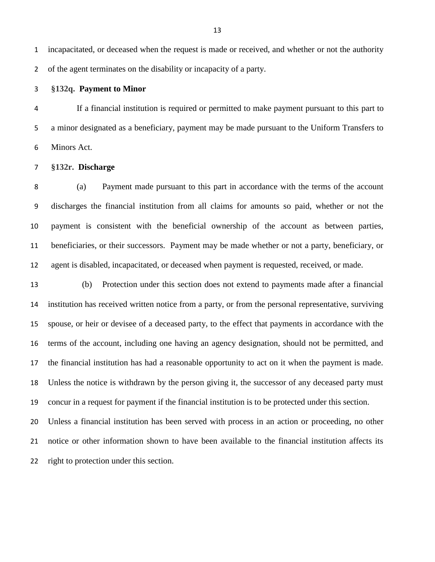incapacitated, or deceased when the request is made or received, and whether or not the authority of the agent terminates on the disability or incapacity of a party.

#### **§132q. Payment to Minor**

 If a financial institution is required or permitted to make payment pursuant to this part to a minor designated as a beneficiary, payment may be made pursuant to the Uniform Transfers to Minors Act.

## **§132r. Discharge**

 (a) Payment made pursuant to this part in accordance with the terms of the account discharges the financial institution from all claims for amounts so paid, whether or not the payment is consistent with the beneficial ownership of the account as between parties, beneficiaries, or their successors. Payment may be made whether or not a party, beneficiary, or agent is disabled, incapacitated, or deceased when payment is requested, received, or made.

 (b) Protection under this section does not extend to payments made after a financial institution has received written notice from a party, or from the personal representative, surviving spouse, or heir or devisee of a deceased party, to the effect that payments in accordance with the terms of the account, including one having an agency designation, should not be permitted, and the financial institution has had a reasonable opportunity to act on it when the payment is made. Unless the notice is withdrawn by the person giving it, the successor of any deceased party must concur in a request for payment if the financial institution is to be protected under this section.

 Unless a financial institution has been served with process in an action or proceeding, no other notice or other information shown to have been available to the financial institution affects its right to protection under this section.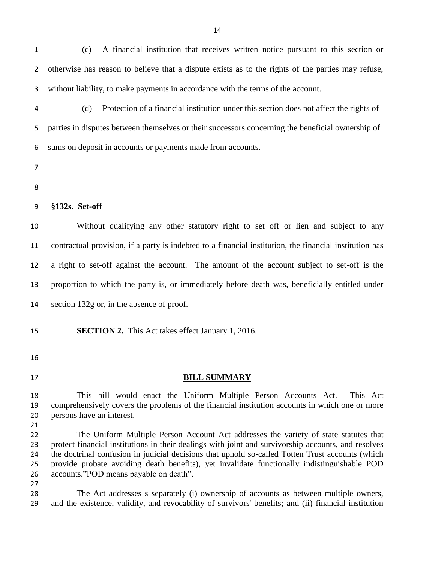- (c) A financial institution that receives written notice pursuant to this section or otherwise has reason to believe that a dispute exists as to the rights of the parties may refuse, without liability, to make payments in accordance with the terms of the account.
- (d) Protection of a financial institution under this section does not affect the rights of parties in disputes between themselves or their successors concerning the beneficial ownership of sums on deposit in accounts or payments made from accounts.
- 
- 

```
9 §132s. Set-off
```
 Without qualifying any other statutory right to set off or lien and subject to any contractual provision, if a party is indebted to a financial institution, the financial institution has a right to set-off against the account. The amount of the account subject to set-off is the proportion to which the party is, or immediately before death was, beneficially entitled under section 132g or, in the absence of proof.

- **SECTION 2.** This Act takes effect January 1, 2016.
- 
- 

#### **BILL SUMMARY**

 This bill would enact the Uniform Multiple Person Accounts Act. This Act comprehensively covers the problems of the financial institution accounts in which one or more persons have an interest.

 The Uniform Multiple Person Account Act addresses the variety of state statutes that protect financial institutions in their dealings with joint and survivorship accounts, and resolves the doctrinal confusion in judicial decisions that uphold so-called Totten Trust accounts (which provide probate avoiding death benefits), yet invalidate functionally indistinguishable POD accounts."POD means payable on death".

 The Act addresses s separately (i) ownership of accounts as between multiple owners, and the existence, validity, and revocability of survivors' benefits; and (ii) financial institution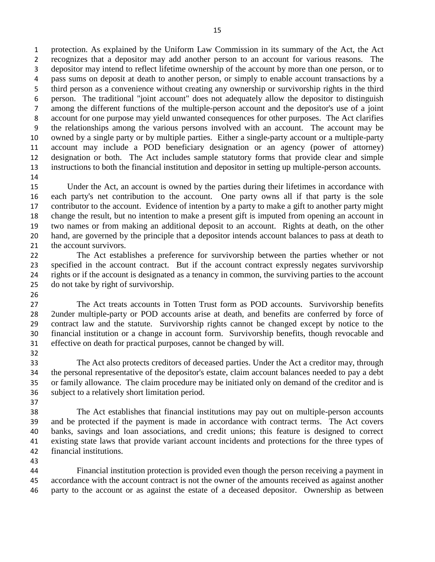protection. As explained by the Uniform Law Commission in its summary of the Act, the Act recognizes that a depositor may add another person to an account for various reasons. The depositor may intend to reflect lifetime ownership of the account by more than one person, or to pass sums on deposit at death to another person, or simply to enable account transactions by a third person as a convenience without creating any ownership or survivorship rights in the third person. The traditional "joint account" does not adequately allow the depositor to distinguish among the different functions of the multiple-person account and the depositor's use of a joint account for one purpose may yield unwanted consequences for other purposes. The Act clarifies the relationships among the various persons involved with an account. The account may be owned by a single party or by multiple parties. Either a single-party account or a multiple-party account may include a POD beneficiary designation or an agency (power of attorney) designation or both. The Act includes sample statutory forms that provide clear and simple instructions to both the financial institution and depositor in setting up multiple-person accounts.

 Under the Act, an account is owned by the parties during their lifetimes in accordance with each party's net contribution to the account. One party owns all if that party is the sole contributor to the account. Evidence of intention by a party to make a gift to another party might change the result, but no intention to make a present gift is imputed from opening an account in two names or from making an additional deposit to an account. Rights at death, on the other hand, are governed by the principle that a depositor intends account balances to pass at death to 21 the account survivors.

 The Act establishes a preference for survivorship between the parties whether or not specified in the account contract. But if the account contract expressly negates survivorship rights or if the account is designated as a tenancy in common, the surviving parties to the account do not take by right of survivorship.

 The Act treats accounts in Totten Trust form as POD accounts. Survivorship benefits 28 2under multiple-party or POD accounts arise at death, and benefits are conferred by force of contract law and the statute. Survivorship rights cannot be changed except by notice to the financial institution or a change in account form. Survivorship benefits, though revocable and effective on death for practical purposes, cannot be changed by will.

 The Act also protects creditors of deceased parties. Under the Act a creditor may, through the personal representative of the depositor's estate, claim account balances needed to pay a debt or family allowance. The claim procedure may be initiated only on demand of the creditor and is subject to a relatively short limitation period.

 The Act establishes that financial institutions may pay out on multiple-person accounts and be protected if the payment is made in accordance with contract terms. The Act covers banks, savings and loan associations, and credit unions; this feature is designed to correct existing state laws that provide variant account incidents and protections for the three types of financial institutions.

 Financial institution protection is provided even though the person receiving a payment in accordance with the account contract is not the owner of the amounts received as against another party to the account or as against the estate of a deceased depositor. Ownership as between